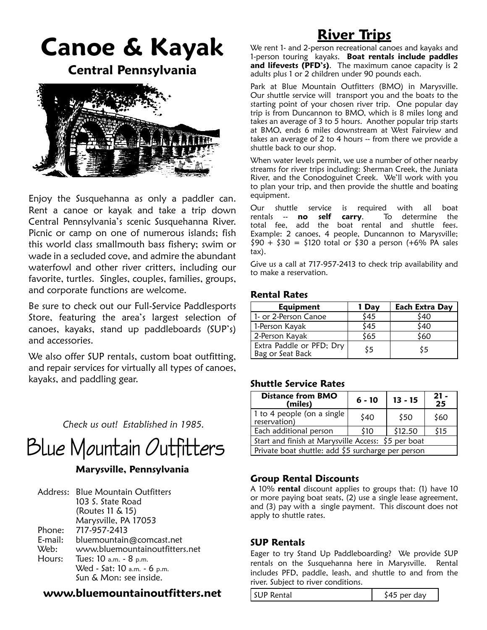# **Canoe & Kayak**

**Central Pennsylvania**



Enjoy the Susquehanna as only a paddler can. Rent a canoe or kayak and take a trip down Central Pennsylvania's scenic Susquehanna River. Picnic or camp on one of numerous islands; fish this world class smallmouth bass fishery; swim or wade in a secluded cove, and admire the abundant waterfowl and other river critters, including our favorite, turtles. Singles, couples, families, groups, and corporate functions are welcome.

Be sure to check out our Full-Service Paddlesports Store, featuring the area's largest selection of canoes, kayaks, stand up paddleboards (SUP's) and accessories.

We also offer SUP rentals, custom boat outfitting, and repair services for virtually all types of canoes, kayaks, and paddling gear.

*Check us out! Established in 1985.*



### **Marysville, Pennsylvania**

|         | Address: Blue Mountain Outfitters |
|---------|-----------------------------------|
|         | 103 S. State Road                 |
|         | (Routes 11 & 15)                  |
|         | Marysville, PA 17053              |
| Phone:  | 717-957-2413                      |
| E-mail: | bluemountain@comcast.net          |
| Web:    | www.bluemountainoutfitters.net    |
| Hours:  | Tues: 10 a.m. - 8 p.m.            |
|         | Wed - Sat: 10 a.m. - 6 p.m.       |
|         | Sun & Mon: see inside.            |

### **www.bluemountainoutfitters.net**

## **River Trips**

We rent 1- and 2-person recreational canoes and kayaks and 1-person touring kayaks. **Boat rentals include paddles and lifevests (PFD's)**. The maximum canoe capacity is 2 adults plus 1 or 2 children under 90 pounds each.

Park at Blue Mountain Outfitters (BMO) in Marysville. Our shuttle service will transport you and the boats to the starting point of your chosen river trip. One popular day trip is from Duncannon to BMO, which is 8 miles long and takes an average of 3 to 5 hours. Another popular trip starts at BMO, ends 6 miles downstream at West Fairview and takes an average of 2 to 4 hours -- from there we provide a shuttle back to our shop.

When water levels permit, we use a number of other nearby streams for river trips including: Sherman Creek, the Juniata River, and the Conodoguinet Creek. We'll work with you to plan your trip, and then provide the shuttle and boating equipment.

Our shuttle service is required with all boat rentals -- no self carry. To determine the rentals -- **no self carry**. total fee, add the boat rental and shuttle fees. Example: 2 canoes, 4 people, Duncannon to Marysville;  $$90 + $30 = $120$  total or \$30 a person (+6% PA sales tax).

Give us a call at 717-957-2413 to check trip availability and to make a reservation.

### **Rental Rates**

| <b>Equipment</b>                             | 1 Day | <b>Each Extra Day</b> |
|----------------------------------------------|-------|-----------------------|
| 1- or 2-Person Canoe                         | \$45  | \$40                  |
| 1-Person Kayak                               | \$45  | \$40                  |
| 2-Person Kayak                               | \$65  | 560                   |
| Extra Paddle or PFD; Dry<br>Bag or Seat Back | \$5   | \$5                   |

### **Shuttle Service Rates**

| <b>Distance from BMO</b><br>(miles)                 | $6 - 10$ | $13 - 15$ | $21 -$<br>25 |  |
|-----------------------------------------------------|----------|-----------|--------------|--|
| 1 to 4 people (on a single<br>reservation)          | \$40     | \$50      | \$60         |  |
| Each additional person                              | \$10     | \$12.50   | \$15         |  |
| Start and finish at Marysville Access: \$5 per boat |          |           |              |  |
| Private boat shuttle: add \$5 surcharge per person  |          |           |              |  |

### **Group Rental Discounts**

A 10% **rental** discount applies to groups that: (1) have 10 or more paying boat seats, (2) use a single lease agreement, and (3) pay with a single payment. This discount does not apply to shuttle rates.

### **SUP Rentals**

Eager to try Stand Up Paddleboarding? We provide SUP rentals on the Susquehanna here in Marysville. Rental includes PFD, paddle, leash, and shuttle to and from the river. Subject to river conditions.

SUP Rental  $\begin{array}{c|c}\n\sqrt{345} & \text{per day}\n\end{array}$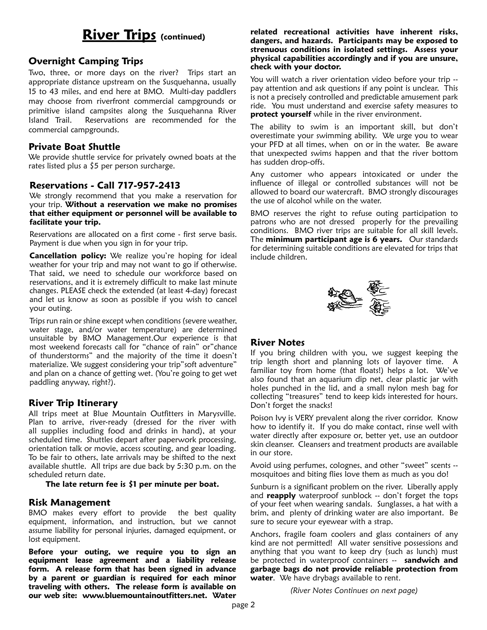## **River Trips (continued)**

### **Overnight Camping Trips**

Two, three, or more days on the river? Trips start an appropriate distance upstream on the Susquehanna, usually 15 to 43 miles, and end here at BMO. Multi-day paddlers may choose from riverfront commercial campgrounds or primitive island campsites along the Susquehanna River Island Trail. Reservations are recommended for the commercial campgrounds.

### **Private Boat Shuttle**

We provide shuttle service for privately owned boats at the rates listed plus a \$5 per person surcharge.

### **Reservations - Call 717-957-2413**

We strongly recommend that you make a reservation for your trip. **Without a reservation we make no promises that either equipment or personnel will be available to facilitate your trip.**

Reservations are allocated on a first come - first serve basis. Payment is due when you sign in for your trip.

**Cancellation policy:** We realize you're hoping for ideal weather for your trip and may not want to go if otherwise. That said, we need to schedule our workforce based on reservations, and it is extremely difficult to make last minute changes. PLEASE check the extended (at least 4-day) forecast and let us know as soon as possible if you wish to cancel your outing.

Trips run rain or shine except when conditions (severe weather, water stage, and/or water temperature) are determined unsuitable by BMO Management.Our experience is that most weekend forecasts call for "chance of rain" or"chance of thunderstorms" and the majority of the time it doesn't materialize. We suggest considering your trip"soft adventure" and plan on a chance of getting wet. (You're going to get wet paddling anyway, right?).

### **River Trip Itinerary**

All trips meet at Blue Mountain Outfitters in Marysville. Plan to arrive, river-ready (dressed for the river with all supplies including food and drinks in hand), at your scheduled time. Shuttles depart after paperwork processing, orientation talk or movie, access scouting, and gear loading. To be fair to others, late arrivals may be shifted to the next available shuttle. All trips are due back by 5:30 p.m. on the scheduled return date.

### **The late return fee is \$1 per minute per boat.**

### **Risk Management**

BMO makes every effort to provide the best quality equipment, information, and instruction, but we cannot assume liability for personal injuries, damaged equipment, or lost equipment.

**Before your outing, we require you to sign an equipment lease agreement and a liability release form. A release form that has been signed in advance by a parent or guardian is required for each minor traveling with others. The release form is available on our web site: www.bluemountainoutfitters.net. Water** 

### **related recreational activities have inherent risks, dangers, and hazards. Participants may be exposed to strenuous conditions in isolated settings. Assess your physical capabilities accordingly and if you are unsure, check with your doctor.**

You will watch a river orientation video before your trip -pay attention and ask questions if any point is unclear. This is not a precisely controlled and predictable amusement park ride. You must understand and exercise safety measures to **protect yourself** while in the river environment.

The ability to swim is an important skill, but don't overestimate your swimming ability. We urge you to wear your PFD at all times, when on or in the water. Be aware that unexpected swims happen and that the river bottom has sudden drop-offs.

Any customer who appears intoxicated or under the influence of illegal or controlled substances will not be allowed to board our watercraft. BMO strongly discourages the use of alcohol while on the water.

BMO reserves the right to refuse outing participation to patrons who are not dressed properly for the prevailing conditions. BMO river trips are suitable for all skill levels. The **minimum participant age is 6 years.** Our standards for determining suitable conditions are elevated for trips that include children.



### **River Notes**

If you bring children with you, we suggest keeping the trip length short and planning lots of layover time. A familiar toy from home (that floats!) helps a lot. We've also found that an aquarium dip net, clear plastic jar with holes punched in the lid, and a small nylon mesh bag for collecting "treasures" tend to keep kids interested for hours. Don't forget the snacks!

Poison Ivy is VERY prevalent along the river corridor. Know how to identify it. If you do make contact, rinse well with water directly after exposure or, better yet, use an outdoor skin cleanser. Cleansers and treatment products are available in our store.

Avoid using perfumes, colognes, and other "sweet" scents - mosquitoes and biting flies love them as much as you do!

Sunburn is a significant problem on the river. Liberally apply and **reapply** waterproof sunblock -- don't forget the tops of your feet when wearing sandals. Sunglasses, a hat with a brim, and plenty of drinking water are also important. Be sure to secure your eyewear with a strap.

Anchors, fragile foam coolers and glass containers of any kind are not permitted! All water sensitive possessions and anything that you want to keep dry (such as lunch) must be protected in waterproof containers -- **sandwich and garbage bags do not provide reliable protection from water**. We have drybags available to rent.

*(River Notes Continues on next page)*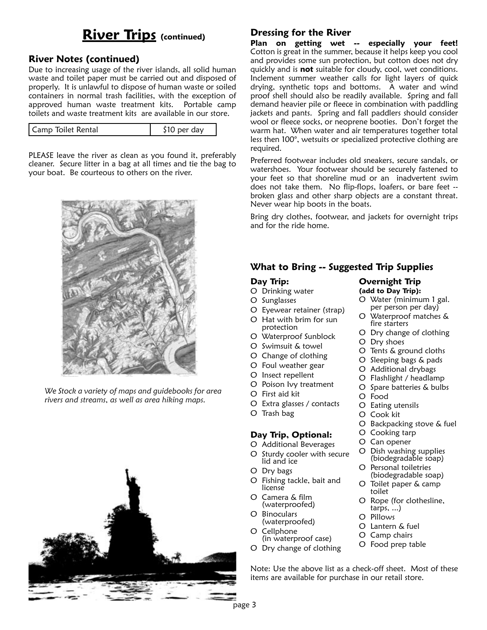## **River Trips** (continued) **Dressing for the River**

### **River Notes (continued)**

Due to increasing usage of the river islands, all solid human waste and toilet paper must be carried out and disposed of properly. It is unlawful to dispose of human waste or soiled containers in normal trash facilities, with the exception of approved human waste treatment kits. Portable camp toilets and waste treatment kits are available in our store.

| LCamp Toilet Rental<br>dav |
|----------------------------|
|----------------------------|

PLEASE leave the river as clean as you found it, preferably cleaner. Secure litter in a bag at all times and tie the bag to your boat. Be courteous to others on the river.



*We Stock a variety of maps and guidebooks for area rivers and streams, as well as area hiking maps.*



**Plan on getting wet -- especially your feet!** Cotton is great in the summer, because it helps keep you cool and provides some sun protection, but cotton does not dry quickly and is **not** suitable for cloudy, cool, wet conditions. Inclement summer weather calls for light layers of quick drying, synthetic tops and bottoms. A water and wind proof shell should also be readily available. Spring and fall demand heavier pile or fleece in combination with paddling jackets and pants. Spring and fall paddlers should consider wool or fleece socks, or neoprene booties. Don't forget the warm hat. When water and air temperatures together total less then 100°, wetsuits or specialized protective clothing are required.

Preferred footwear includes old sneakers, secure sandals, or watershoes. Your footwear should be securely fastened to your feet so that shoreline mud or an inadvertent swim does not take them. No flip-flops, loafers, or bare feet - broken glass and other sharp objects are a constant threat. Never wear hip boots in the boats.

Bring dry clothes, footwear, and jackets for overnight trips and for the ride home.

> **Overnight Trip (add to Day Trip):**

> > fire starters

O Eating utensils O Cook kit

O Cooking tarp O Can opener

toilet

tarps, ...) O Pillows O Lantern & fuel O Camp chairs O Food prep table

O Dry shoes

O Food

O Water (minimum 1 gal. per person per day) O Waterproof matches &

O Dry change of clothing

O Tents & ground cloths O Sleeping bags & pads O Additional drybags O Flashlight / headlamp O Spare batteries & bulbs

O Backpacking stove & fuel

O Dish washing supplies (biodegradable soap) O Personal toiletries (biodegradable soap) O Toilet paper & camp

O Rope (for clothesline,

### **What to Bring -- Suggested Trip Supplies**

### **Day Trip:**

- O Drinking water
- O Sunglasses
- O Eyewear retainer (strap)
- O Hat with brim for sun protection
- O Waterproof Sunblock
- O Swimsuit & towel
- O Change of clothing
- O Foul weather gear
- O Insect repellent
- O Poison Ivy treatment
- O First aid kit
- O Extra glasses / contacts
- O Trash bag

### **Day Trip, Optional:**

- O Additional Beverages
- O Sturdy cooler with secure lid and ice
- O Dry bags
- O Fishing tackle, bait and license
- O Camera & film (waterproofed)
- O Binoculars (waterproofed)
- O Cellphone (in waterproof case)
- O Dry change of clothing
- Note: Use the above list as a check-off sheet. Most of these items are available for purchase in our retail store.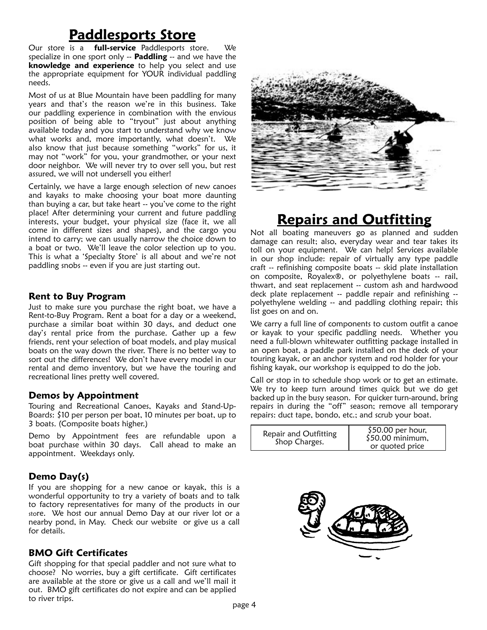## **Paddlesports Store**

Our store is a **full-service** Paddlesports store. We specialize in one sport only -- **Paddling** -- and we have the **knowledge and experience** to help you select and use the appropriate equipment for YOUR individual paddling needs.

Most of us at Blue Mountain have been paddling for many years and that's the reason we're in this business. Take our paddling experience in combination with the envious position of being able to "tryout" just about anything available today and you start to understand why we know what works and, more importantly, what doesn't. We also know that just because something "works" for us, it may not "work" for you, your grandmother, or your next door neighbor. We will never try to over sell you, but rest assured, we will not undersell you either!

Certainly, we have a large enough selection of new canoes and kayaks to make choosing your boat more daunting than buying a car, but take heart -- you've come to the right place! After determining your current and future paddling interests, your budget, your physical size (face it, we all come in different sizes and shapes), and the cargo you intend to carry; we can usually narrow the choice down to a boat or two. We'll leave the color selection up to you. This is what a 'Specialty Store' is all about and we're not paddling snobs -- even if you are just starting out.

### **Rent to Buy Program**

Just to make sure you purchase the right boat, we have a Rent-to-Buy Program. Rent a boat for a day or a weekend, purchase a similar boat within 30 days, and deduct one day's rental price from the purchase. Gather up a few friends, rent your selection of boat models, and play musical boats on the way down the river. There is no better way to sort out the differences! We don't have every model in our rental and demo inventory, but we have the touring and recreational lines pretty well covered.

### **Demos by Appointment**

Touring and Recreational Canoes, Kayaks and Stand-Up-Boards: \$10 per person per boat, 10 minutes per boat, up to 3 boats. (Composite boats higher.)

Demo by Appointment fees are refundable upon a boat purchase within 30 days. Call ahead to make an appointment. Weekdays only.

### **Demo Day(s)**

If you are shopping for a new canoe or kayak, this is a wonderful opportunity to try a variety of boats and to talk to factory representatives for many of the products in our store. We host our annual Demo Day at our river lot or a nearby pond, in May. Check our website or give us a call for details.

### **BMO Gift Certificates**

Gift shopping for that special paddler and not sure what to choose? No worries, buy a gift certificate. Gift certificates are available at the store or give us a call and we'll mail it out. BMO gift certificates do not expire and can be applied to river trips.



## **Repairs and Outfitting**

Not all boating maneuvers go as planned and sudden damage can result; also, everyday wear and tear takes its toll on your equipment. We can help! Services available in our shop include: repair of virtually any type paddle craft -- refinishing composite boats -- skid plate installation on composite, Royalex®, or polyethylene boats -- rail, thwart, and seat replacement -- custom ash and hardwood deck plate replacement -- paddle repair and refinishing - polyethylene welding -- and paddling clothing repair; this list goes on and on.

We carry a full line of components to custom outfit a canoe or kayak to your specific paddling needs. Whether you need a full-blown whitewater outfitting package installed in an open boat, a paddle park installed on the deck of your touring kayak, or an anchor system and rod holder for your fishing kayak, our workshop is equipped to do the job.

Call or stop in to schedule shop work or to get an estimate. We try to keep turn around times quick but we do get backed up in the busy season. For quicker turn-around, bring repairs in during the "off" season; remove all temporary repairs: duct tape, bondo, etc.; and scrub your boat.

| Repair and Outfitting | $$50.00$ per hour, |
|-----------------------|--------------------|
| Shop Charges.         | $$50.00$ minimum,  |
|                       | or quoted price    |